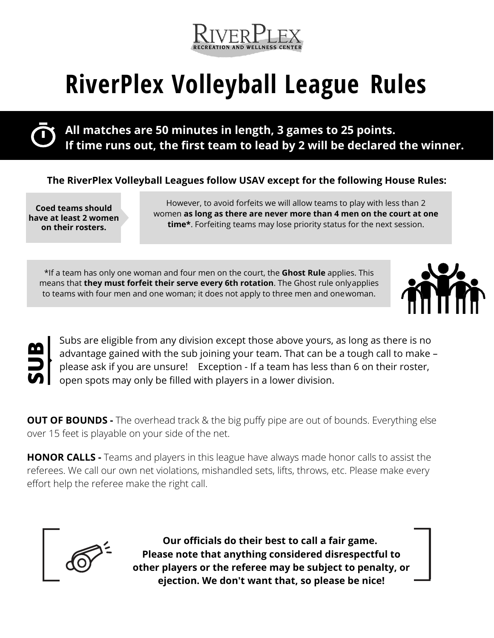

## **RiverPlex Volleyball League Rules**

**All matches are 50 minutes in length, 3 games to 25 points. If time runs out, the first team to lead by 2 will be declared the winner.**

#### **The RiverPlex Volleyball Leagues follow USAV except for the following House Rules:**

**Coed teams should have at least 2 women on their rosters.**

However, to avoid forfeits we will allow teams to play with less than 2 women **as long as there are never more than 4 men on the court at one time\***. Forfeiting teams may lose priority status for the next session.

\*If a team has only one woman and four men on the court, the **Ghost Rule** applies. This means that **they must forfeit their serve every 6th rotation**. The Ghost rule onlyapplies to teams with four men and one woman; it does not apply to three men and onewoman.



**SUB**<br>50

Subs are eligible from any division except those above yours, as long as there is no advantage gained with the sub joining your team. That can be a tough call to make – please ask if you are unsure! Exception - If a team has less than 6 on their roster, open spots may only be filled with players in a lower division.

**OUT OF BOUNDS -** The overhead track & the big puffy pipe are out of bounds. Everything else over 15 feet is playable on your side of the net.

**HONOR CALLS -** Teams and players in this league have always made honor calls to assist the referees. We call our own net violations, mishandled sets, lifts, throws, etc. Please make every effort help the referee make the right call.



**Our officials do their best to call a fair game. Please note that anything considered disrespectful to other players or the referee may be subject to penalty, or ejection. We don't want that, so please be nice!**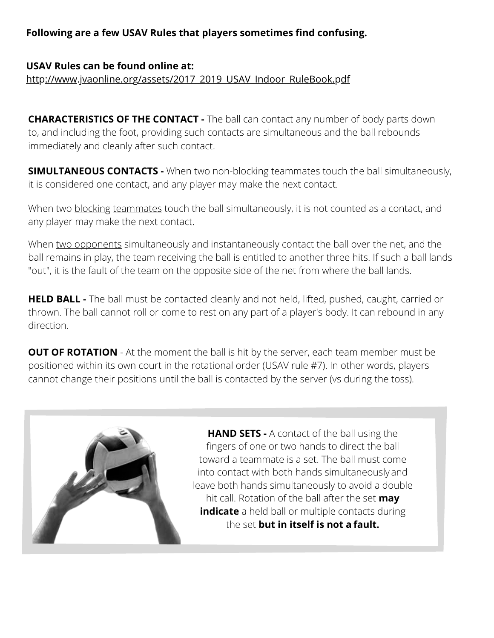#### **Following are a few USAV Rules that players sometimes find confusing.**

#### **[USAV Rules can be found online at:](http://www.jvaonline.org/assets/2017_2019_USAV_Indoor_RuleBook.pdf)** [http://www.jvaonline.org/assets/2017\\_2019\\_USAV\\_Indoor\\_RuleBook.pdf](http://www.jvaonline.org/assets/2017_2019_USAV_Indoor_RuleBook.pdf)

**CHARACTERISTICS OF THE CONTACT -** The ball can contact any number of body parts down to, and including the foot, providing such contacts are simultaneous and the ball rebounds immediately and cleanly after such contact.

**SIMULTANEOUS CONTACTS -** When two non-blocking teammates touch the ball simultaneously, it is considered one contact, and any player may make the next contact.

When two blocking teammates touch the ball simultaneously, it is not counted as a contact, and any player may make the next contact.

When two opponents simultaneously and instantaneously contact the ball over the net, and the ball remains in play, the team receiving the ball is entitled to another three hits. If such a ball lands "out", it is the fault of the team on the opposite side of the net from where the ball lands.

**HELD BALL -** The ball must be contacted cleanly and not held, lifted, pushed, caught, carried or thrown. The ball cannot roll or come to rest on any part of a player's body. It can rebound in any direction.

**OUT OF ROTATION** - At the moment the ball is hit by the server, each team member must be positioned within its own court in the rotational order (USAV rule #7). In other words, players cannot change their positions until the ball is contacted by the server (vs during the toss).



**HAND SETS -** A contact of the ball using the fingers of one or two hands to direct the ball toward a teammate is a set. The ball must come into contact with both hands simultaneously and leave both hands simultaneously to avoid a double hit call. Rotation of the ball after the set **may indicate** a held ball or multiple contacts during the set **but in itself is not a fault.**